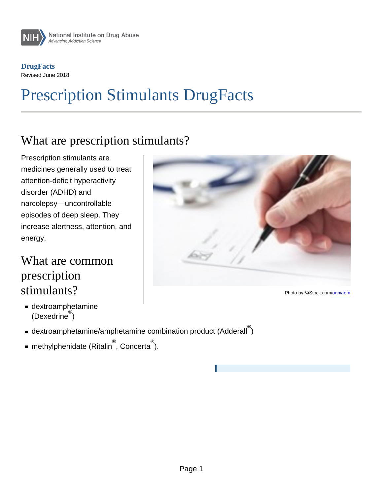**DrugFacts** Revised June 2018

# Prescription Stimulants DrugFacts

# What are prescription stimulants?

Prescription stimulants are medicines generally used to treat attention-deficit hyperactivity disorder (ADHD) and narcolepsy—uncontrollable episodes of deep sleep. They increase alertness, attention, and energy.

#### What are common prescription stimulants?

- dextroamphetamine (Dexedrine<sup>®</sup>)
- dextroamphetamine/amphetamine combination product (Adderall )
- methylphenidate (Ritalin $^{\circ\!\!\circ}$ , Concerta $^{\circ\!\!\circ}$ ).

Photo by ©iStock.com[/ognianm](https://www.istockphoto.com/portfolio/ognianm)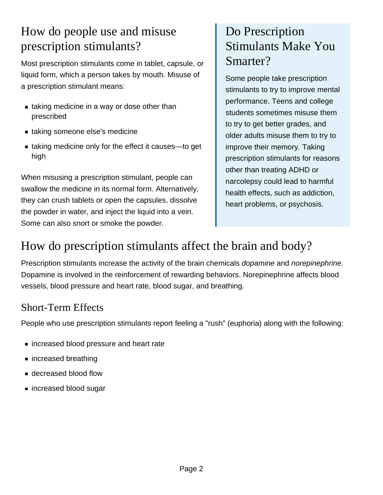# How do people use and misuse prescription stimulants?

Most prescription stimulants come in tablet, capsule, or liquid form, which a person takes by mouth. Misuse of a prescription stimulant means:

- **Example 1** taking medicine in a way or dose other than prescribed
- taking someone else's medicine
- taking medicine only for the effect it causes—to get high

When misusing a prescription stimulant, people can swallow the medicine in its normal form. Alternatively, they can crush tablets or open the capsules, dissolve the powder in water, and inject the liquid into a vein. Some can also snort or smoke the powder.

# Do Prescription Stimulants Make You Smarter?

Some people take prescription stimulants to try to improve mental performance. Teens and college students sometimes misuse them to try to get better grades, and older adults misuse them to try to improve their memory. Taking prescription stimulants for reasons other than treating ADHD or narcolepsy could lead to harmful health effects, such as addiction, heart problems, or psychosis.

# How do prescription stimulants affect the brain and body?

Prescription stimulants increase the activity of the brain chemicals *dopamine* and *norepinephrine*. Dopamine is involved in the reinforcement of rewarding behaviors. Norepinephrine affects blood vessels, blood pressure and heart rate, blood sugar, and breathing.

#### Short-Term Effects

People who use prescription stimulants report feeling a "rush" (euphoria) along with the following:

- increased blood pressure and heart rate
- increased breathing
- decreased blood flow
- increased blood sugar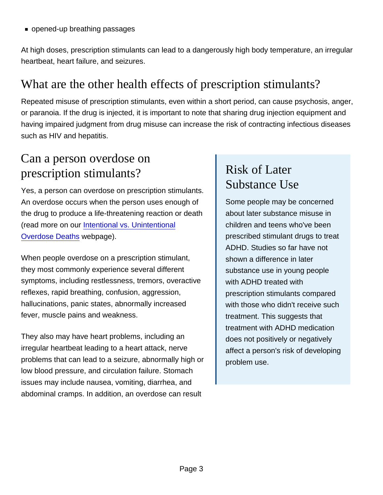opened-up breathing passages

At high doses, prescription stimulants can lead to a dangerously high body temperature, an irregular heartbeat, heart failure, and seizures.

#### What are the other health effects of prescription stimulants?

Repeated misuse of prescription stimulants, even within a short period, can cause psychosis, anger, or paranoia. If the drug is injected, it is important to note that sharing drug injection equipment and having impaired judgment from drug misuse can increase the risk of contracting infectious diseases such as HIV and hepatitis.

## Can a person overdose on prescription stimulants?

Yes, a person can overdose on prescription stimulants. An overdose occurs when the person uses enough of the drug to produce a life-threatening reaction or death (read more on our [Intentional vs. Unintentional](http://nida.nih.gov/drug-topics/treatment/intentional-vs-unintentional-overdose-deaths) [Overdose Deaths](http://nida.nih.gov/drug-topics/treatment/intentional-vs-unintentional-overdose-deaths) webpage).

When people overdose on a prescription stimulant, they most commonly experience several different symptoms, including restlessness, tremors, overactive reflexes, rapid breathing, confusion, aggression, hallucinations, panic states, abnormally increased fever, muscle pains and weakness.

They also may have heart problems, including an irregular heartbeat leading to a heart attack, nerve problems that can lead to a seizure, abnormally high or low blood pressure, and circulation failure. Stomach issues may include nausea, vomiting, diarrhea, and abdominal cramps. In addition, an overdose can result

# Risk of Later Substance Use

Some people may be concerned about later substance misuse in children and teens who've been prescribed stimulant drugs to treat ADHD. Studies so far have not shown a difference in later substance use in young people with ADHD treated with prescription stimulants compared with those who didn't receive such treatment. This suggests that treatment with ADHD medication does not positively or negatively affect a person's risk of developing problem use.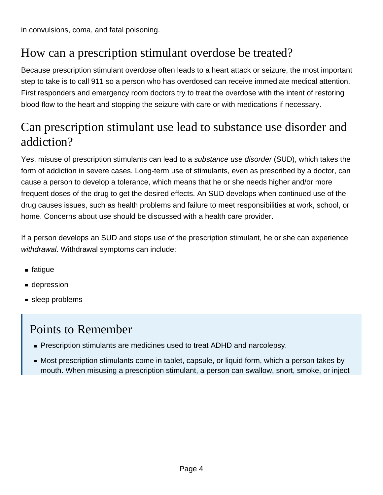# How can a prescription stimulant overdose be treated?

Because prescription stimulant overdose often leads to a heart attack or seizure, the most important step to take is to call 911 so a person who has overdosed can receive immediate medical attention. First responders and emergency room doctors try to treat the overdose with the intent of restoring blood flow to the heart and stopping the seizure with care or with medications if necessary.

#### Can prescription stimulant use lead to substance use disorder and addiction?

Yes, misuse of prescription stimulants can lead to a substance use disorder (SUD), which takes the form of addiction in severe cases. Long-term use of stimulants, even as prescribed by a doctor, can cause a person to develop a tolerance, which means that he or she needs higher and/or more frequent doses of the drug to get the desired effects. An SUD develops when continued use of the drug causes issues, such as health problems and failure to meet responsibilities at work, school, or home. Concerns about use should be discussed with a health care provider.

If a person develops an SUD and stops use of the prescription stimulant, he or she can experience withdrawal. Withdrawal symptoms can include:

- $\blacksquare$  fatigue
- depression
- sleep problems

#### Points to Remember

- **Prescription stimulants are medicines used to treat ADHD and narcolepsy.**
- Most prescription stimulants come in tablet, capsule, or liquid form, which a person takes by mouth. When misusing a prescription stimulant, a person can swallow, snort, smoke, or inject